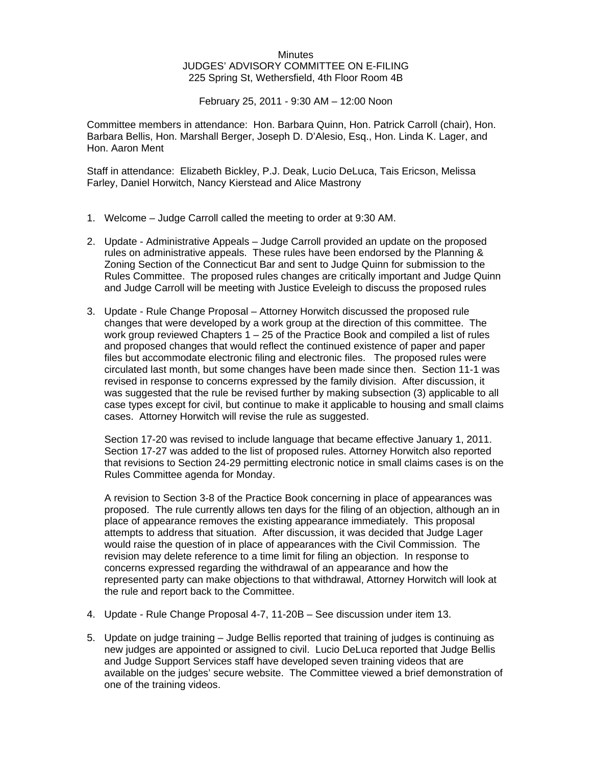## **Minutes** JUDGES' ADVISORY COMMITTEE ON E-FILING 225 Spring St, Wethersfield, 4th Floor Room 4B

February 25, 2011 - 9:30 AM – 12:00 Noon

Committee members in attendance: Hon. Barbara Quinn, Hon. Patrick Carroll (chair), Hon. Barbara Bellis, Hon. Marshall Berger, Joseph D. D'Alesio, Esq., Hon. Linda K. Lager, and Hon. Aaron Ment

Staff in attendance: Elizabeth Bickley, P.J. Deak, Lucio DeLuca, Tais Ericson, Melissa Farley, Daniel Horwitch, Nancy Kierstead and Alice Mastrony

- 1. Welcome Judge Carroll called the meeting to order at 9:30 AM.
- 2. Update Administrative Appeals Judge Carroll provided an update on the proposed rules on administrative appeals. These rules have been endorsed by the Planning & Zoning Section of the Connecticut Bar and sent to Judge Quinn for submission to the Rules Committee. The proposed rules changes are critically important and Judge Quinn and Judge Carroll will be meeting with Justice Eveleigh to discuss the proposed rules
- 3. Update Rule Change Proposal Attorney Horwitch discussed the proposed rule changes that were developed by a work group at the direction of this committee. The work group reviewed Chapters 1 – 25 of the Practice Book and compiled a list of rules and proposed changes that would reflect the continued existence of paper and paper files but accommodate electronic filing and electronic files. The proposed rules were circulated last month, but some changes have been made since then. Section 11-1 was revised in response to concerns expressed by the family division. After discussion, it was suggested that the rule be revised further by making subsection (3) applicable to all case types except for civil, but continue to make it applicable to housing and small claims cases. Attorney Horwitch will revise the rule as suggested.

Section 17-20 was revised to include language that became effective January 1, 2011. Section 17-27 was added to the list of proposed rules. Attorney Horwitch also reported that revisions to Section 24-29 permitting electronic notice in small claims cases is on the Rules Committee agenda for Monday.

A revision to Section 3-8 of the Practice Book concerning in place of appearances was proposed. The rule currently allows ten days for the filing of an objection, although an in place of appearance removes the existing appearance immediately. This proposal attempts to address that situation. After discussion, it was decided that Judge Lager would raise the question of in place of appearances with the Civil Commission. The revision may delete reference to a time limit for filing an objection. In response to concerns expressed regarding the withdrawal of an appearance and how the represented party can make objections to that withdrawal, Attorney Horwitch will look at the rule and report back to the Committee.

- 4. Update Rule Change Proposal 4-7, 11-20B See discussion under item 13.
- 5. Update on judge training Judge Bellis reported that training of judges is continuing as new judges are appointed or assigned to civil. Lucio DeLuca reported that Judge Bellis and Judge Support Services staff have developed seven training videos that are available on the judges' secure website. The Committee viewed a brief demonstration of one of the training videos.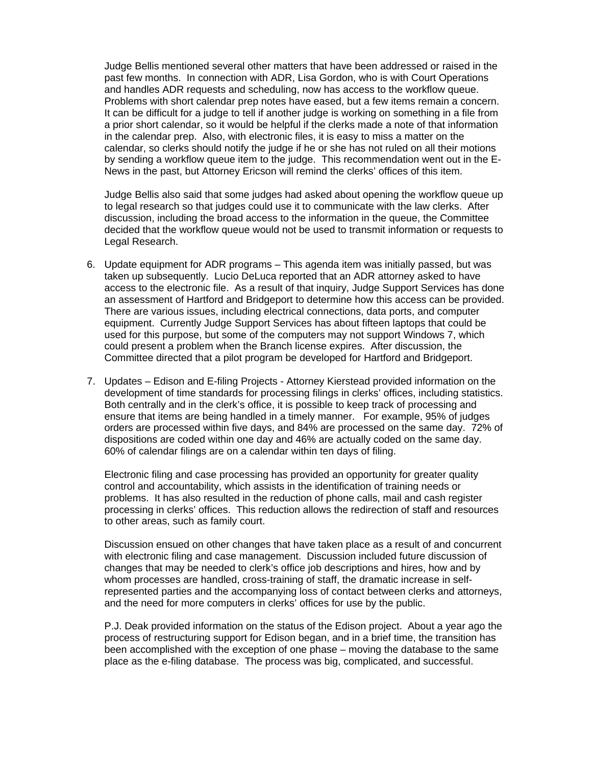Judge Bellis mentioned several other matters that have been addressed or raised in the past few months. In connection with ADR, Lisa Gordon, who is with Court Operations and handles ADR requests and scheduling, now has access to the workflow queue. Problems with short calendar prep notes have eased, but a few items remain a concern. It can be difficult for a judge to tell if another judge is working on something in a file from a prior short calendar, so it would be helpful if the clerks made a note of that information in the calendar prep. Also, with electronic files, it is easy to miss a matter on the calendar, so clerks should notify the judge if he or she has not ruled on all their motions by sending a workflow queue item to the judge. This recommendation went out in the E-News in the past, but Attorney Ericson will remind the clerks' offices of this item.

Judge Bellis also said that some judges had asked about opening the workflow queue up to legal research so that judges could use it to communicate with the law clerks. After discussion, including the broad access to the information in the queue, the Committee decided that the workflow queue would not be used to transmit information or requests to Legal Research.

- 6. Update equipment for ADR programs This agenda item was initially passed, but was taken up subsequently. Lucio DeLuca reported that an ADR attorney asked to have access to the electronic file. As a result of that inquiry, Judge Support Services has done an assessment of Hartford and Bridgeport to determine how this access can be provided. There are various issues, including electrical connections, data ports, and computer equipment. Currently Judge Support Services has about fifteen laptops that could be used for this purpose, but some of the computers may not support Windows 7, which could present a problem when the Branch license expires. After discussion, the Committee directed that a pilot program be developed for Hartford and Bridgeport.
- 7. Updates Edison and E-filing Projects Attorney Kierstead provided information on the development of time standards for processing filings in clerks' offices, including statistics. Both centrally and in the clerk's office, it is possible to keep track of processing and ensure that items are being handled in a timely manner. For example, 95% of judges orders are processed within five days, and 84% are processed on the same day. 72% of dispositions are coded within one day and 46% are actually coded on the same day. 60% of calendar filings are on a calendar within ten days of filing.

Electronic filing and case processing has provided an opportunity for greater quality control and accountability, which assists in the identification of training needs or problems. It has also resulted in the reduction of phone calls, mail and cash register processing in clerks' offices. This reduction allows the redirection of staff and resources to other areas, such as family court.

Discussion ensued on other changes that have taken place as a result of and concurrent with electronic filing and case management. Discussion included future discussion of changes that may be needed to clerk's office job descriptions and hires, how and by whom processes are handled, cross-training of staff, the dramatic increase in selfrepresented parties and the accompanying loss of contact between clerks and attorneys, and the need for more computers in clerks' offices for use by the public.

P.J. Deak provided information on the status of the Edison project. About a year ago the process of restructuring support for Edison began, and in a brief time, the transition has been accomplished with the exception of one phase – moving the database to the same place as the e-filing database. The process was big, complicated, and successful.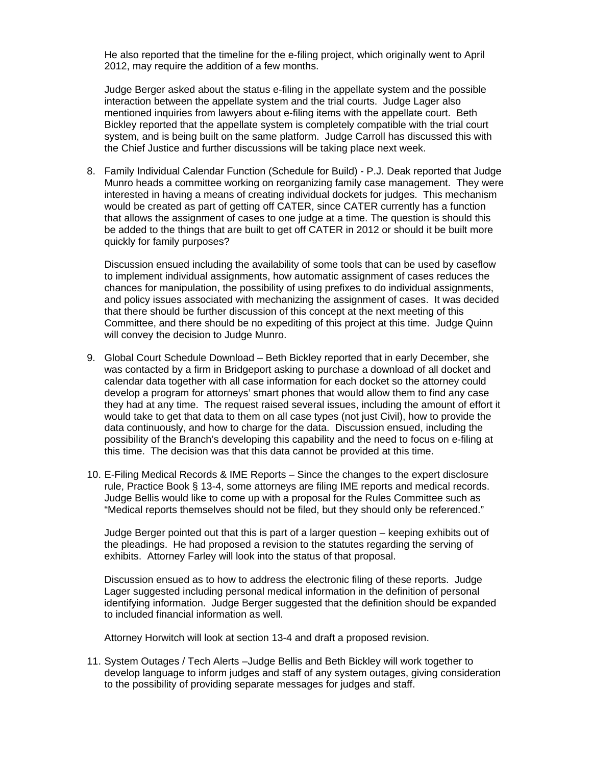He also reported that the timeline for the e-filing project, which originally went to April 2012, may require the addition of a few months.

Judge Berger asked about the status e-filing in the appellate system and the possible interaction between the appellate system and the trial courts. Judge Lager also mentioned inquiries from lawyers about e-filing items with the appellate court. Beth Bickley reported that the appellate system is completely compatible with the trial court system, and is being built on the same platform. Judge Carroll has discussed this with the Chief Justice and further discussions will be taking place next week.

8. Family Individual Calendar Function (Schedule for Build) - P.J. Deak reported that Judge Munro heads a committee working on reorganizing family case management. They were interested in having a means of creating individual dockets for judges. This mechanism would be created as part of getting off CATER, since CATER currently has a function that allows the assignment of cases to one judge at a time. The question is should this be added to the things that are built to get off CATER in 2012 or should it be built more quickly for family purposes?

Discussion ensued including the availability of some tools that can be used by caseflow to implement individual assignments, how automatic assignment of cases reduces the chances for manipulation, the possibility of using prefixes to do individual assignments, and policy issues associated with mechanizing the assignment of cases. It was decided that there should be further discussion of this concept at the next meeting of this Committee, and there should be no expediting of this project at this time. Judge Quinn will convey the decision to Judge Munro.

- 9. Global Court Schedule Download Beth Bickley reported that in early December, she was contacted by a firm in Bridgeport asking to purchase a download of all docket and calendar data together with all case information for each docket so the attorney could develop a program for attorneys' smart phones that would allow them to find any case they had at any time. The request raised several issues, including the amount of effort it would take to get that data to them on all case types (not just Civil), how to provide the data continuously, and how to charge for the data. Discussion ensued, including the possibility of the Branch's developing this capability and the need to focus on e-filing at this time. The decision was that this data cannot be provided at this time.
- 10. E-Filing Medical Records & IME Reports Since the changes to the expert disclosure rule, Practice Book § 13-4, some attorneys are filing IME reports and medical records. Judge Bellis would like to come up with a proposal for the Rules Committee such as "Medical reports themselves should not be filed, but they should only be referenced."

Judge Berger pointed out that this is part of a larger question – keeping exhibits out of the pleadings. He had proposed a revision to the statutes regarding the serving of exhibits. Attorney Farley will look into the status of that proposal.

Discussion ensued as to how to address the electronic filing of these reports. Judge Lager suggested including personal medical information in the definition of personal identifying information. Judge Berger suggested that the definition should be expanded to included financial information as well.

Attorney Horwitch will look at section 13-4 and draft a proposed revision.

11. System Outages / Tech Alerts –Judge Bellis and Beth Bickley will work together to develop language to inform judges and staff of any system outages, giving consideration to the possibility of providing separate messages for judges and staff.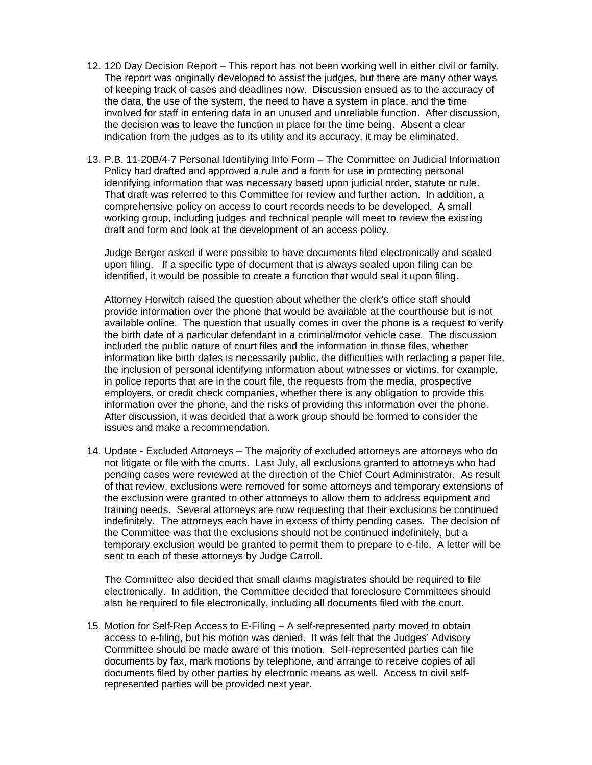- 12. 120 Day Decision Report This report has not been working well in either civil or family. The report was originally developed to assist the judges, but there are many other ways of keeping track of cases and deadlines now. Discussion ensued as to the accuracy of the data, the use of the system, the need to have a system in place, and the time involved for staff in entering data in an unused and unreliable function. After discussion, the decision was to leave the function in place for the time being. Absent a clear indication from the judges as to its utility and its accuracy, it may be eliminated.
- 13. P.B. 11-20B/4-7 Personal Identifying Info Form The Committee on Judicial Information Policy had drafted and approved a rule and a form for use in protecting personal identifying information that was necessary based upon judicial order, statute or rule. That draft was referred to this Committee for review and further action. In addition, a comprehensive policy on access to court records needs to be developed. A small working group, including judges and technical people will meet to review the existing draft and form and look at the development of an access policy.

Judge Berger asked if were possible to have documents filed electronically and sealed upon filing. If a specific type of document that is always sealed upon filing can be identified, it would be possible to create a function that would seal it upon filing.

Attorney Horwitch raised the question about whether the clerk's office staff should provide information over the phone that would be available at the courthouse but is not available online. The question that usually comes in over the phone is a request to verify the birth date of a particular defendant in a criminal/motor vehicle case. The discussion included the public nature of court files and the information in those files, whether information like birth dates is necessarily public, the difficulties with redacting a paper file, the inclusion of personal identifying information about witnesses or victims, for example, in police reports that are in the court file, the requests from the media, prospective employers, or credit check companies, whether there is any obligation to provide this information over the phone, and the risks of providing this information over the phone. After discussion, it was decided that a work group should be formed to consider the issues and make a recommendation.

14. Update - Excluded Attorneys – The majority of excluded attorneys are attorneys who do not litigate or file with the courts. Last July, all exclusions granted to attorneys who had pending cases were reviewed at the direction of the Chief Court Administrator. As result of that review, exclusions were removed for some attorneys and temporary extensions of the exclusion were granted to other attorneys to allow them to address equipment and training needs. Several attorneys are now requesting that their exclusions be continued indefinitely. The attorneys each have in excess of thirty pending cases. The decision of the Committee was that the exclusions should not be continued indefinitely, but a temporary exclusion would be granted to permit them to prepare to e-file. A letter will be sent to each of these attorneys by Judge Carroll.

The Committee also decided that small claims magistrates should be required to file electronically. In addition, the Committee decided that foreclosure Committees should also be required to file electronically, including all documents filed with the court.

15. Motion for Self-Rep Access to E-Filing – A self-represented party moved to obtain access to e-filing, but his motion was denied. It was felt that the Judges' Advisory Committee should be made aware of this motion. Self-represented parties can file documents by fax, mark motions by telephone, and arrange to receive copies of all documents filed by other parties by electronic means as well. Access to civil selfrepresented parties will be provided next year.